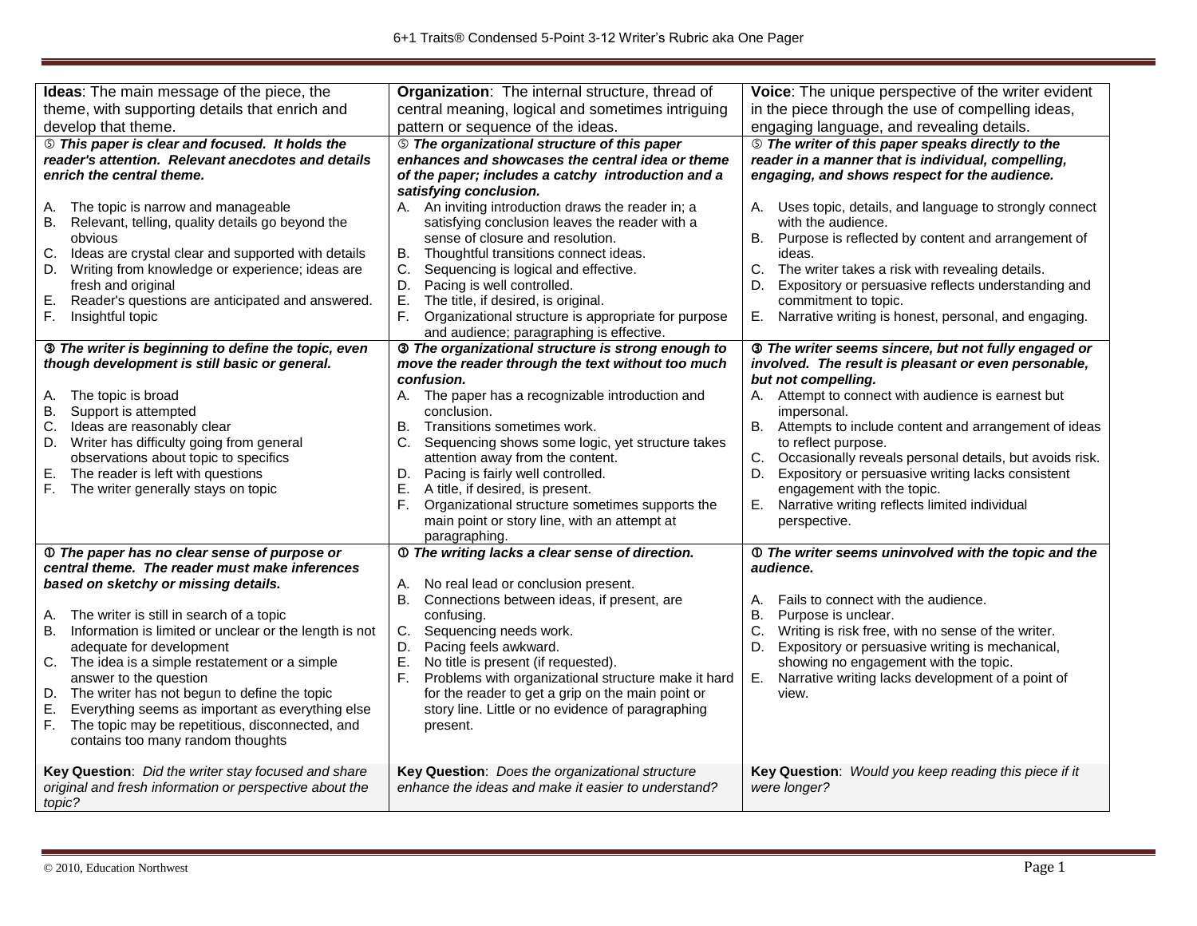| Ideas: The main message of the piece, the                                                                                                                                                                                                                                                                                                                                                                                                                                                                                                                                     | Organization: The internal structure, thread of                                                                                                                                                                                                                                                                                                                                                                                                                | Voice: The unique perspective of the writer evident                                                                                                                                                                                                                                                                                                                                  |
|-------------------------------------------------------------------------------------------------------------------------------------------------------------------------------------------------------------------------------------------------------------------------------------------------------------------------------------------------------------------------------------------------------------------------------------------------------------------------------------------------------------------------------------------------------------------------------|----------------------------------------------------------------------------------------------------------------------------------------------------------------------------------------------------------------------------------------------------------------------------------------------------------------------------------------------------------------------------------------------------------------------------------------------------------------|--------------------------------------------------------------------------------------------------------------------------------------------------------------------------------------------------------------------------------------------------------------------------------------------------------------------------------------------------------------------------------------|
| theme, with supporting details that enrich and                                                                                                                                                                                                                                                                                                                                                                                                                                                                                                                                | central meaning, logical and sometimes intriguing                                                                                                                                                                                                                                                                                                                                                                                                              | in the piece through the use of compelling ideas,                                                                                                                                                                                                                                                                                                                                    |
| develop that theme.                                                                                                                                                                                                                                                                                                                                                                                                                                                                                                                                                           | pattern or sequence of the ideas.                                                                                                                                                                                                                                                                                                                                                                                                                              | engaging language, and revealing details.                                                                                                                                                                                                                                                                                                                                            |
| <b>S</b> This paper is clear and focused. It holds the<br>reader's attention. Relevant anecdotes and details<br>enrich the central theme.                                                                                                                                                                                                                                                                                                                                                                                                                                     | <b>S</b> The organizational structure of this paper<br>enhances and showcases the central idea or theme<br>of the paper; includes a catchy introduction and a<br>satisfying conclusion.                                                                                                                                                                                                                                                                        | <b>S</b> The writer of this paper speaks directly to the<br>reader in a manner that is individual, compelling,<br>engaging, and shows respect for the audience.                                                                                                                                                                                                                      |
| The topic is narrow and manageable<br>А.<br>Relevant, telling, quality details go beyond the<br><b>B.</b><br>obvious<br>C.<br>Ideas are crystal clear and supported with details<br>Writing from knowledge or experience; ideas are<br>D.<br>fresh and original<br>Ε.<br>Reader's questions are anticipated and answered.<br>F.<br>Insightful topic                                                                                                                                                                                                                           | A. An inviting introduction draws the reader in; a<br>satisfying conclusion leaves the reader with a<br>sense of closure and resolution.<br><b>B.</b><br>Thoughtful transitions connect ideas.<br>C.<br>Sequencing is logical and effective.<br>Pacing is well controlled.<br>D.<br>E.<br>The title, if desired, is original.<br>F.<br>Organizational structure is appropriate for purpose<br>and audience; paragraphing is effective.                         | A. Uses topic, details, and language to strongly connect<br>with the audience.<br>Purpose is reflected by content and arrangement of<br>В.<br>ideas.<br>C.<br>The writer takes a risk with revealing details.<br>Expository or persuasive reflects understanding and<br>D.<br>commitment to topic.<br>Narrative writing is honest, personal, and engaging.<br>Е.                     |
| 3 The writer is beginning to define the topic, even<br>though development is still basic or general.                                                                                                                                                                                                                                                                                                                                                                                                                                                                          | <b>3</b> The organizational structure is strong enough to<br>move the reader through the text without too much<br>confusion.                                                                                                                                                                                                                                                                                                                                   | 3 The writer seems sincere, but not fully engaged or<br>involved. The result is pleasant or even personable,<br>but not compelling.                                                                                                                                                                                                                                                  |
| A. The topic is broad<br>B. Support is attempted<br>C. Ideas are reasonably clear<br>D. Writer has difficulty going from general<br>observations about topic to specifics<br>Е.<br>The reader is left with questions<br>F.<br>The writer generally stays on topic                                                                                                                                                                                                                                                                                                             | A. The paper has a recognizable introduction and<br>conclusion.<br>Transitions sometimes work.<br>В.<br>C.<br>Sequencing shows some logic, yet structure takes<br>attention away from the content.<br>Pacing is fairly well controlled.<br>D.<br>Е.<br>A title, if desired, is present.<br>F.<br>Organizational structure sometimes supports the<br>main point or story line, with an attempt at<br>paragraphing.                                              | A. Attempt to connect with audience is earnest but<br>impersonal.<br>B. Attempts to include content and arrangement of ideas<br>to reflect purpose.<br>C.<br>Occasionally reveals personal details, but avoids risk.<br>Expository or persuasive writing lacks consistent<br>D.<br>engagement with the topic.<br>Narrative writing reflects limited individual<br>Е.<br>perspective. |
| 10 The paper has no clear sense of purpose or<br>central theme. The reader must make inferences<br>based on sketchy or missing details.<br>The writer is still in search of a topic<br>А.<br>Information is limited or unclear or the length is not<br>В.<br>adequate for development<br>C. The idea is a simple restatement or a simple<br>answer to the question<br>D. The writer has not begun to define the topic<br>Е.<br>Everything seems as important as everything else<br>The topic may be repetitious, disconnected, and<br>F.<br>contains too many random thoughts | 10 The writing lacks a clear sense of direction.<br>No real lead or conclusion present.<br>А.<br>В.<br>Connections between ideas, if present, are<br>confusing.<br>C.<br>Sequencing needs work.<br>Pacing feels awkward.<br>D.<br>Ε.<br>No title is present (if requested).<br>F.<br>Problems with organizational structure make it hard<br>for the reader to get a grip on the main point or<br>story line. Little or no evidence of paragraphing<br>present. | <b>1</b> The writer seems uninvolved with the topic and the<br>audience.<br>Fails to connect with the audience.<br>А.<br>В.<br>Purpose is unclear.<br>C.<br>Writing is risk free, with no sense of the writer.<br>Expository or persuasive writing is mechanical,<br>D.<br>showing no engagement with the topic.<br>Narrative writing lacks development of a point of<br>Е.<br>view. |
| Key Question: Did the writer stay focused and share<br>original and fresh information or perspective about the<br>topic?                                                                                                                                                                                                                                                                                                                                                                                                                                                      | Key Question: Does the organizational structure<br>enhance the ideas and make it easier to understand?                                                                                                                                                                                                                                                                                                                                                         | Key Question: Would you keep reading this piece if it<br>were longer?                                                                                                                                                                                                                                                                                                                |